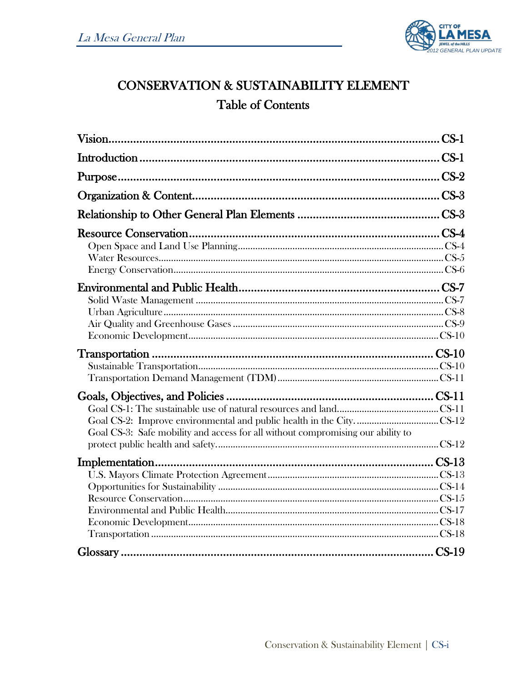

## **CONSERVATION & SUSTAINABILITY ELEMENT Table of Contents**

| Goal CS-3: Safe mobility and access for all without compromising our ability to |  |
|---------------------------------------------------------------------------------|--|
|                                                                                 |  |
|                                                                                 |  |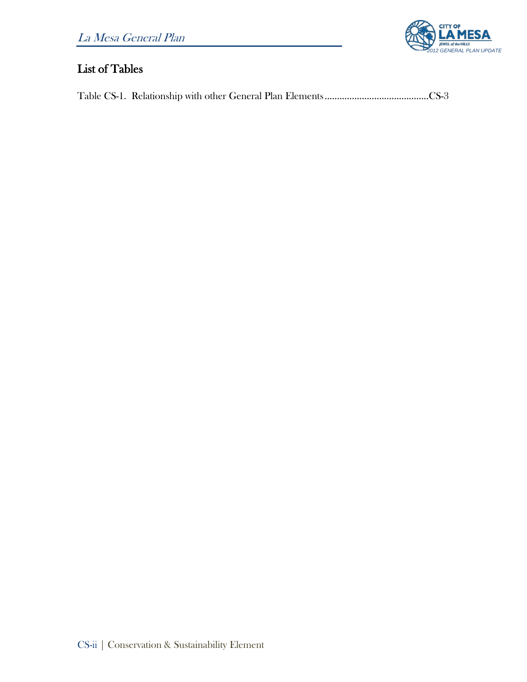

## List of Tables

Table CS-1. Relationship with other General Plan Elements..........................................CS-3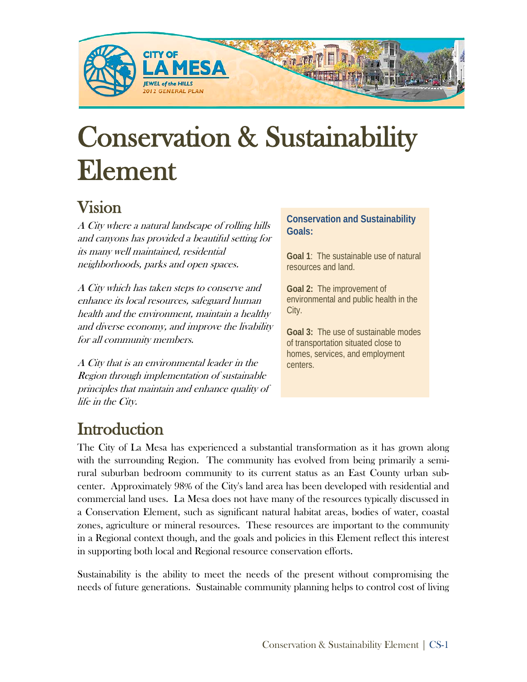

# Conservation & Sustainability Element

# Vision

A City where a natural landscape of rolling hills and canyons has provided a beautiful setting for its many well maintained, residential neighborhoods, parks and open spaces.

A City which has taken steps to conserve and enhance its local resources, safeguard human health and the environment, maintain a healthy and diverse economy, and improve the livability for all community members.

A City that is an environmental leader in the Region through implementation of sustainable principles that maintain and enhance quality of life in the City.

#### **Conservation and Sustainability Goals:**

**Goal 1**: The sustainable use of natural resources and land.

**Goal 2:** The improvement of environmental and public health in the City.

**Goal 3:** The use of sustainable modes of transportation situated close to homes, services, and employment centers.

Introduction<br>The City of La Mesa has experienced a substantial transformation as it has grown along with the surrounding Region. The community has evolved from being primarily a semirural suburban bedroom community to its current status as an East County urban subcenter. Approximately 98% of the City's land area has been developed with residential and commercial land uses. La Mesa does not have many of the resources typically discussed in a Conservation Element, such as significant natural habitat areas, bodies of water, coastal zones, agriculture or mineral resources. These resources are important to the community in a Regional context though, and the goals and policies in this Element reflect this interest in supporting both local and Regional resource conservation efforts.

Sustainability is the ability to meet the needs of the present without compromising the needs of future generations. Sustainable community planning helps to control cost of living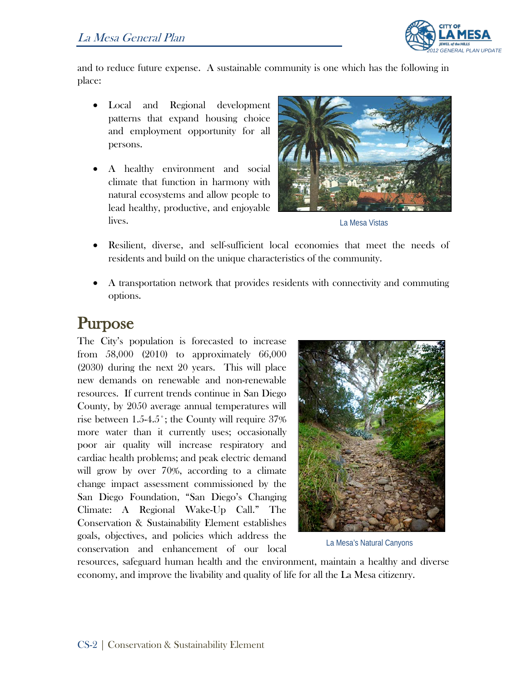

and to reduce future expense. A sustainable community is one which has the following in place:

- Local and Regional development patterns that expand housing choice and employment opportunity for all persons.
- A healthy environment and social climate that function in harmony with natural ecosystems and allow people to lead healthy, productive, and enjoyable lives.



La Mesa Vistas

- Resilient, diverse, and self-sufficient local economies that meet the needs of residents and build on the unique characteristics of the community.
- A transportation network that provides residents with connectivity and commuting options.

**Purpose**<br>The City's population is forecasted to increase from 58,000 (2010) to approximately 66,000 (2030) during the next 20 years. This will place new demands on renewable and non-renewable resources. If current trends continue in San Diego County, by 2050 average annual temperatures will rise between 1.5-4.5˚; the County will require 37% more water than it currently uses; occasionally poor air quality will increase respiratory and cardiac health problems; and peak electric demand will grow by over 70%, according to a climate change impact assessment commissioned by the San Diego Foundation, "San Diego's Changing Climate: A Regional Wake-Up Call." The Conservation & Sustainability Element establishes goals, objectives, and policies which address the conservation and enhancement of our local



La Mesa's Natural Canyons

resources, safeguard human health and the environment, maintain a healthy and diverse economy, and improve the livability and quality of life for all the La Mesa citizenry.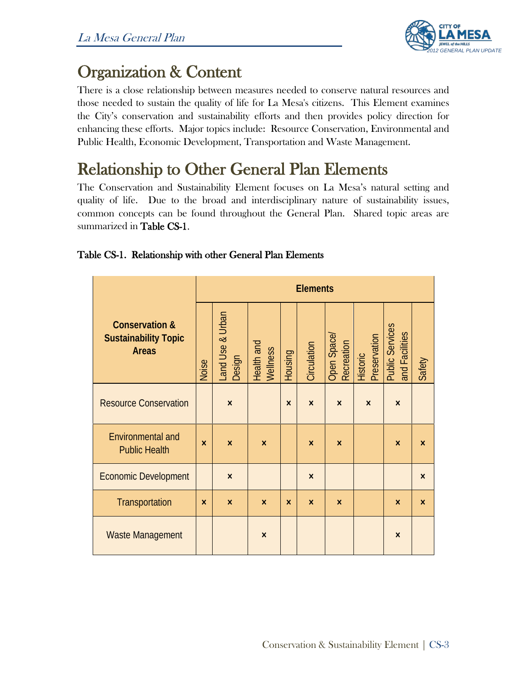

Organization & Content There is a close relationship between measures needed to conserve natural resources and those needed to sustain the quality of life for La Mesa's citizens. This Element examines the City's conservation and sustainability efforts and then provides policy direction for enhancing these efforts. Major topics include: Resource Conservation, Environmental and Public Health, Economic Development, Transportation and Waste Management.

# Relationship to Other General Plan Elements<br>The Conservation and Sustainability Element focuses on La Mesa's natural setting and

quality of life. Due to the broad and interdisciplinary nature of sustainability issues, common concepts can be found throughout the General Plan. Shared topic areas are summarized in Table CS-1.

#### Table CS-1. Relationship with other General Plan Elements

|                                                                          | <b>Elements</b>           |                           |                           |                           |                           |                           |                                 |                                          |                           |
|--------------------------------------------------------------------------|---------------------------|---------------------------|---------------------------|---------------------------|---------------------------|---------------------------|---------------------------------|------------------------------------------|---------------------------|
| <b>Conservation &amp;</b><br><b>Sustainability Topic</b><br><b>Areas</b> | Noise                     | and Use & Urban<br>Design | Health and<br>Wellness    | <b>Housing</b>            | Circulation               | Open Space/<br>Recreation | Preservation<br><b>Historic</b> | <b>Public Services</b><br>and Facilities | Safety                    |
| <b>Resource Conservation</b>                                             |                           | $\boldsymbol{\mathsf{x}}$ |                           | $\boldsymbol{\mathsf{x}}$ | $\mathsf{x}$              | $\boldsymbol{\mathsf{x}}$ | $\boldsymbol{\mathsf{x}}$       | $\times$                                 |                           |
| <b>Environmental and</b><br><b>Public Health</b>                         | $\mathsf{x}$              | $\mathsf{x}$              | $\boldsymbol{\mathsf{x}}$ |                           | $\boldsymbol{\mathsf{x}}$ | $\boldsymbol{\mathsf{x}}$ |                                 | $\boldsymbol{\mathsf{x}}$                | $\boldsymbol{\mathsf{x}}$ |
| <b>Economic Development</b>                                              |                           | $\boldsymbol{\mathsf{x}}$ |                           |                           | $\boldsymbol{\mathsf{x}}$ |                           |                                 |                                          | $\boldsymbol{\mathsf{x}}$ |
| Transportation                                                           | $\boldsymbol{\mathsf{x}}$ | $\boldsymbol{\mathsf{x}}$ | $\boldsymbol{\mathsf{x}}$ | $\mathsf{x}$              | $\boldsymbol{\mathsf{x}}$ | $\boldsymbol{\mathsf{x}}$ |                                 | $\boldsymbol{\mathsf{x}}$                | $\boldsymbol{\mathsf{x}}$ |
| <b>Waste Management</b>                                                  |                           |                           | $\boldsymbol{\mathsf{x}}$ |                           |                           |                           |                                 | $\boldsymbol{\mathsf{x}}$                |                           |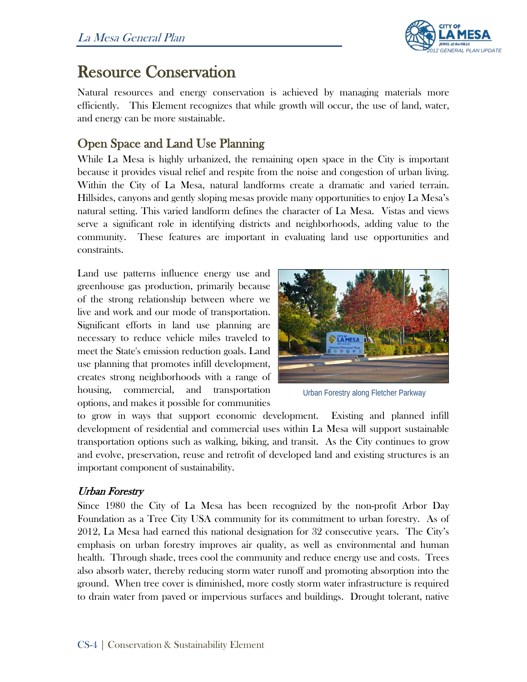

## Resource Conservation

Natural resources and energy conservation is achieved by managing materials more efficiently. This Element recognizes that while growth will occur, the use of land, water, and energy can be more sustainable.

## Open Space and Land Use Planning

While La Mesa is highly urbanized, the remaining open space in the City is important because it provides visual relief and respite from the noise and congestion of urban living. Within the City of La Mesa, natural landforms create a dramatic and varied terrain. Hillsides, canyons and gently sloping mesas provide many opportunities to enjoy La Mesa's natural setting. This varied landform defines the character of La Mesa. Vistas and views serve a significant role in identifying districts and neighborhoods, adding value to the community. These features are important in evaluating land use opportunities and constraints.

Land use patterns influence energy use and greenhouse gas production, primarily because of the strong relationship between where we live and work and our mode of transportation. Significant efforts in land use planning are necessary to reduce vehicle miles traveled to meet the State's emission reduction goals. Land use planning that promotes infill development, creates strong neighborhoods with a range of housing, commercial, and transportation options, and makes it possible for communities



Urban Forestry along Fletcher Parkway

to grow in ways that support economic development. Existing and planned infill development of residential and commercial uses within La Mesa will support sustainable transportation options such as walking, biking, and transit. As the City continues to grow and evolve, preservation, reuse and retrofit of developed land and existing structures is an important component of sustainability.

#### Urban Forestry

Since 1980 the City of La Mesa has been recognized by the non-profit Arbor Day Foundation as a Tree City USA community for its commitment to urban forestry. As of 2012, La Mesa had earned this national designation for 32 consecutive years. The City's emphasis on urban forestry improves air quality, as well as environmental and human health. Through shade, trees cool the community and reduce energy use and costs. Trees also absorb water, thereby reducing storm water runoff and promoting absorption into the ground. When tree cover is diminished, more costly storm water infrastructure is required to drain water from paved or impervious surfaces and buildings. Drought tolerant, native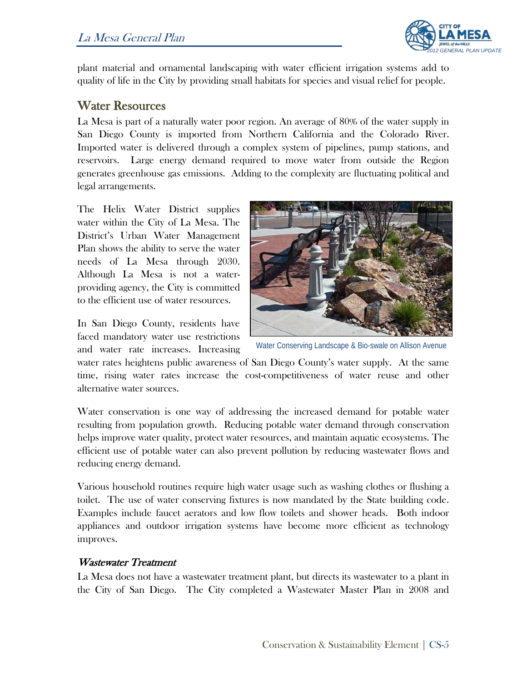

plant material and ornamental landscaping with water efficient irrigation systems add to quality of life in the City by providing small habitats for species and visual relief for people.

#### Water Resources

La Mesa is part of a naturally water poor region. An average of 80% of the water supply in San Diego County is imported from Northern California and the Colorado River. Imported water is delivered through a complex system of pipelines, pump stations, and reservoirs. Large energy demand required to move water from outside the Region generates greenhouse gas emissions. Adding to the complexity are fluctuating political and legal arrangements.

The Helix Water District supplies water within the City of La Mesa. The District's Urban Water Management Plan shows the ability to serve the water needs of La Mesa through 2030. Although La Mesa is not a waterproviding agency, the City is committed to the efficient use of water resources.

In San Diego County, residents have faced mandatory water use restrictions and water rate increases. Increasing



Water Conserving Landscape & Bio-swale on Allison Avenue

water rates heightens public awareness of San Diego County's water supply. At the same time, rising water rates increase the cost-competitiveness of water reuse and other alternative water sources.

Water conservation is one way of addressing the increased demand for potable water resulting from population growth. Reducing potable water demand through conservation helps improve water quality, protect water resources, and maintain aquatic ecosystems. The efficient use of potable water can also prevent pollution by reducing wastewater flows and reducing energy demand.

Various household routines require high water usage such as washing clothes or flushing a toilet. The use of water conserving fixtures is now mandated by the State building code. Examples include faucet aerators and low flow toilets and shower heads. Both indoor appliances and outdoor irrigation systems have become more efficient as technology improves.

#### Wastewater Treatment

La Mesa does not have a wastewater treatment plant, but directs its wastewater to a plant in the City of San Diego. The City completed a Wastewater Master Plan in 2008 and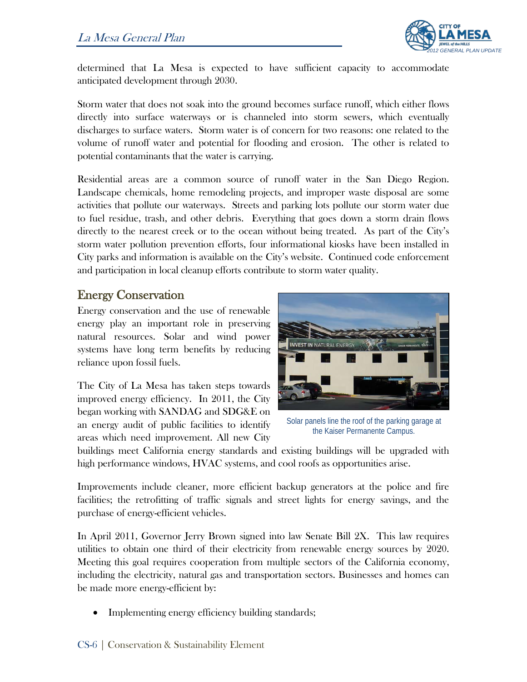

determined that La Mesa is expected to have sufficient capacity to accommodate anticipated development through 2030.

Storm water that does not soak into the ground becomes surface runoff, which either flows directly into surface waterways or is channeled into storm sewers, which eventually discharges to surface waters. Storm water is of concern for two reasons: one related to the volume of runoff water and potential for flooding and erosion. The other is related to potential contaminants that the water is carrying.

Residential areas are a common source of runoff water in the San Diego Region. Landscape chemicals, home remodeling projects, and improper waste disposal are some activities that pollute our waterways. Streets and parking lots pollute our storm water due to fuel residue, trash, and other debris. Everything that goes down a storm drain flows directly to the nearest creek or to the ocean without being treated. As part of the City's storm water pollution prevention efforts, four informational kiosks have been installed in City parks and information is available on the City's website. Continued code enforcement and participation in local cleanup efforts contribute to storm water quality.

#### Energy Conservation

Energy conservation and the use of renewable energy play an important role in preserving natural resources. Solar and wind power systems have long term benefits by reducing reliance upon fossil fuels.

The City of La Mesa has taken steps towards improved energy efficiency. In 2011, the City began working with SANDAG and SDG&E on an energy audit of public facilities to identify areas which need improvement. All new City



Solar panels line the roof of the parking garage at the Kaiser Permanente Campus.

buildings meet California energy standards and existing buildings will be upgraded with high performance windows, HVAC systems, and cool roofs as opportunities arise.

Improvements include cleaner, more efficient backup generators at the police and fire facilities; the retrofitting of traffic signals and street lights for energy savings, and the purchase of energy-efficient vehicles.

In April 2011, Governor Jerry Brown signed into law Senate Bill 2X. This law requires utilities to obtain one third of their electricity from renewable energy sources by 2020. Meeting this goal requires cooperation from multiple sectors of the California economy, including the electricity, natural gas and transportation sectors. Businesses and homes can be made more energy-efficient by:

• Implementing energy efficiency building standards;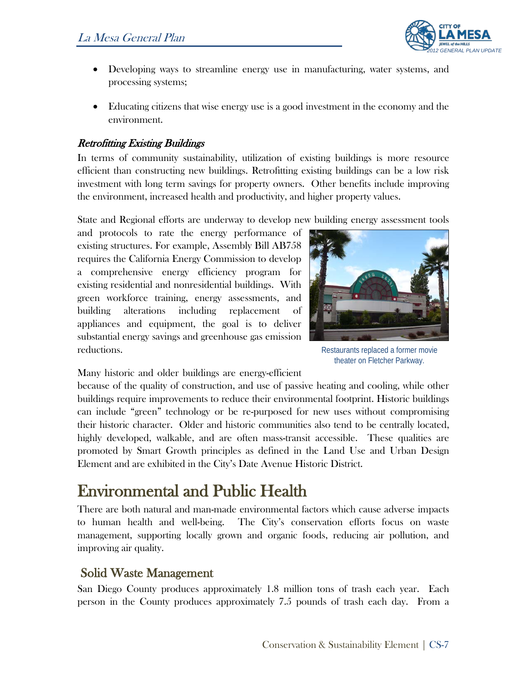

- Developing ways to streamline energy use in manufacturing, water systems, and processing systems;
- Educating citizens that wise energy use is a good investment in the economy and the environment.

#### Retrofitting Existing Buildings

In terms of community sustainability, utilization of existing buildings is more resource efficient than constructing new buildings. Retrofitting existing buildings can be a low risk investment with long term savings for property owners. Other benefits include improving the environment, increased health and productivity, and higher property values.

State and Regional efforts are underway to develop new building energy assessment tools

and protocols to rate the energy performance of existing structures. For example, Assembly Bill AB758 requires the California Energy Commission to develop a comprehensive energy efficiency program for existing residential and nonresidential buildings. With green workforce training, energy assessments, and building alterations including replacement of appliances and equipment, the goal is to deliver substantial energy savings and greenhouse gas emission reductions.



Restaurants replaced a former movie theater on Fletcher Parkway.

Many historic and older buildings are energy-efficient

because of the quality of construction, and use of passive heating and cooling, while other buildings require improvements to reduce their environmental footprint. Historic buildings can include "green" technology or be re-purposed for new uses without compromising their historic character. Older and historic communities also tend to be centrally located, highly developed, walkable, and are often mass-transit accessible. These qualities are promoted by Smart Growth principles as defined in the Land Use and Urban Design Element and are exhibited in the City's Date Avenue Historic District.

# Environmental and Public Health<br>There are both natural and man-made environmental factors which cause adverse impacts

to human health and well-being. The City's conservation efforts focus on waste management, supporting locally grown and organic foods, reducing air pollution, and improving air quality.

### Solid Waste Management

San Diego County produces approximately 1.8 million tons of trash each year. Each person in the County produces approximately 7.5 pounds of trash each day. From a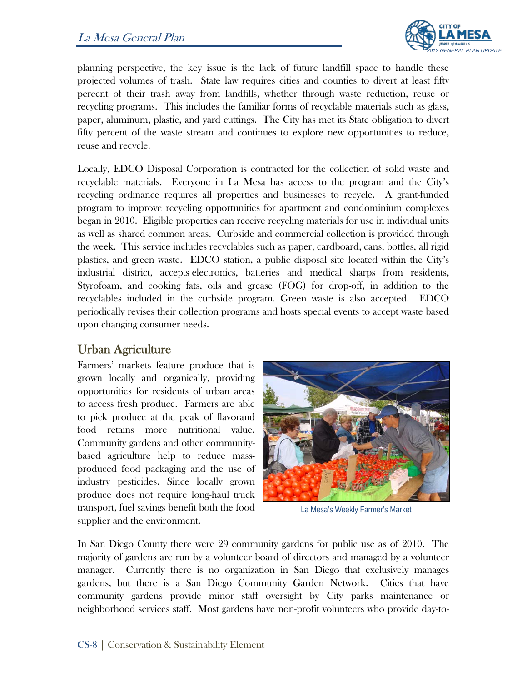

planning perspective, the key issue is the lack of future landfill space to handle these projected volumes of trash. State law requires cities and counties to divert at least fifty percent of their trash away from landfills, whether through waste reduction, reuse or recycling programs. This includes the familiar forms of recyclable materials such as glass, paper, aluminum, plastic, and yard cuttings. The City has met its State obligation to divert fifty percent of the waste stream and continues to explore new opportunities to reduce, reuse and recycle.

Locally, EDCO Disposal Corporation is contracted for the collection of solid waste and recyclable materials. Everyone in La Mesa has access to the program and the City's recycling ordinance requires all properties and businesses to recycle. A grant-funded program to improve recycling opportunities for apartment and condominium complexes began in 2010. Eligible properties can receive recycling materials for use in individual units as well as shared common areas. Curbside and commercial collection is provided through the week. This service includes recyclables such as paper, cardboard, cans, bottles, all rigid plastics, and green waste. EDCO station, a public disposal site located within the City's industrial district, accepts electronics, batteries and medical sharps from residents, Styrofoam, and cooking fats, oils and grease (FOG) for drop-off, in addition to the recyclables included in the curbside program. Green waste is also accepted. EDCO periodically revises their collection programs and hosts special events to accept waste based upon changing consumer needs.

### Urban Agriculture

Farmers' markets feature produce that is grown locally and organically, providing opportunities for residents of urban areas to access fresh produce. Farmers are able to pick produce at the peak of flavorand food retains more nutritional value. Community gardens and other communitybased agriculture help to reduce massproduced food packaging and the use of industry pesticides. Since locally grown produce does not require long-haul truck transport, fuel savings benefit both the food supplier and the environment.



La Mesa's Weekly Farmer's Market

In San Diego County there were 29 community gardens for public use as of 2010. The majority of gardens are run by a volunteer board of directors and managed by a volunteer manager. Currently there is no organization in San Diego that exclusively manages gardens, but there is a San Diego Community Garden Network. Cities that have community gardens provide minor staff oversight by City parks maintenance or neighborhood services staff. Most gardens have non-profit volunteers who provide day-to-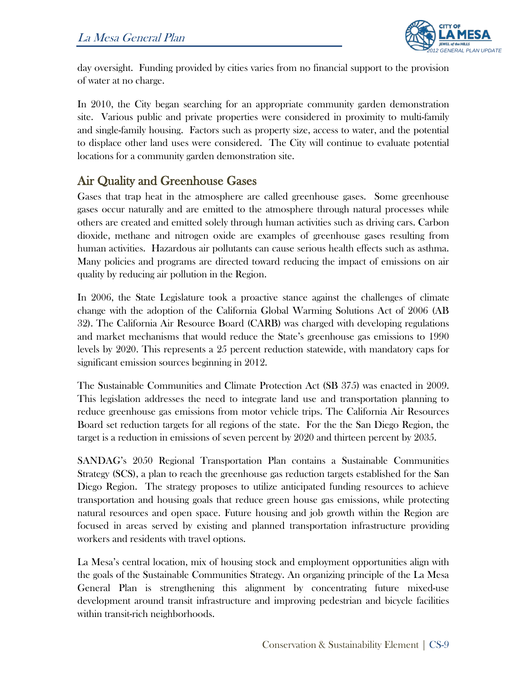

day oversight. Funding provided by cities varies from no financial support to the provision of water at no charge.

In 2010, the City began searching for an appropriate community garden demonstration site. Various public and private properties were considered in proximity to multi-family and single-family housing. Factors such as property size, access to water, and the potential to displace other land uses were considered. The City will continue to evaluate potential locations for a community garden demonstration site.

### Air Quality and Greenhouse Gases

Gases that trap heat in the atmosphere are called greenhouse gases. Some greenhouse gases occur naturally and are emitted to the atmosphere through natural processes while others are created and emitted solely through human activities such as driving cars. Carbon dioxide, methane and nitrogen oxide are examples of greenhouse gases resulting from human activities. Hazardous air pollutants can cause serious health effects such as asthma. Many policies and programs are directed toward reducing the impact of emissions on air quality by reducing air pollution in the Region.

In 2006, the State Legislature took a proactive stance against the challenges of climate change with the adoption of the California Global Warming Solutions Act of 2006 (AB 32). The California Air Resource Board (CARB) was charged with developing regulations and market mechanisms that would reduce the State's greenhouse gas emissions to 1990 levels by 2020. This represents a 25 percent reduction statewide, with mandatory caps for significant emission sources beginning in 2012.

The Sustainable Communities and Climate Protection Act (SB 375) was enacted in 2009. This legislation addresses the need to integrate land use and transportation planning to reduce greenhouse gas emissions from motor vehicle trips. The California Air Resources Board set reduction targets for all regions of the state. For the the San Diego Region, the target is a reduction in emissions of seven percent by 2020 and thirteen percent by 2035.

SANDAG's 2050 Regional Transportation Plan contains a Sustainable Communities Strategy (SCS), a plan to reach the greenhouse gas reduction targets established for the San Diego Region. The strategy proposes to utilize anticipated funding resources to achieve transportation and housing goals that reduce green house gas emissions, while protecting natural resources and open space. Future housing and job growth within the Region are focused in areas served by existing and planned transportation infrastructure providing workers and residents with travel options.

La Mesa's central location, mix of housing stock and employment opportunities align with the goals of the Sustainable Communities Strategy. An organizing principle of the La Mesa General Plan is strengthening this alignment by concentrating future mixed-use development around transit infrastructure and improving pedestrian and bicycle facilities within transit-rich neighborhoods.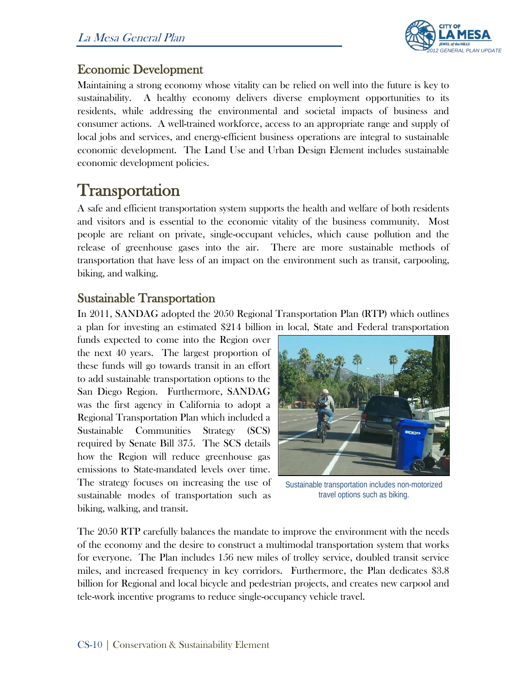

### Economic Development

Maintaining a strong economy whose vitality can be relied on well into the future is key to sustainability. A healthy economy delivers diverse employment opportunities to its residents, while addressing the environmental and societal impacts of business and consumer actions. A well-trained workforce, access to an appropriate range and supply of local jobs and services, and energy-efficient business operations are integral to sustainable economic development. The Land Use and Urban Design Element includes sustainable economic development policies.

Transportation<br>A safe and efficient transportation system supports the health and welfare of both residents and visitors and is essential to the economic vitality of the business community. Most people are reliant on private, single-occupant vehicles, which cause pollution and the release of greenhouse gases into the air. There are more sustainable methods of transportation that have less of an impact on the environment such as transit, carpooling, biking, and walking.

#### Sustainable Transportation

In 2011, SANDAG adopted the 2050 Regional Transportation Plan (RTP) which outlines a plan for investing an estimated \$214 billion in local, State and Federal transportation

funds expected to come into the Region over the next 40 years. The largest proportion of these funds will go towards transit in an effort to add sustainable transportation options to the San Diego Region. Furthermore, SANDAG was the first agency in California to adopt a Regional Transportation Plan which included a Sustainable Communities Strategy (SCS) required by Senate Bill 375. The SCS details how the Region will reduce greenhouse gas emissions to State-mandated levels over time. The strategy focuses on increasing the use of sustainable modes of transportation such as biking, walking, and transit.



Sustainable transportation includes non-motorized travel options such as biking.

The 2050 RTP carefully balances the mandate to improve the environment with the needs of the economy and the desire to construct a multimodal transportation system that works for everyone. The Plan includes 156 new miles of trolley service, doubled transit service miles, and increased frequency in key corridors. Furthermore, the Plan dedicates \$3.8 billion for Regional and local bicycle and pedestrian projects, and creates new carpool and tele-work incentive programs to reduce single-occupancy vehicle travel.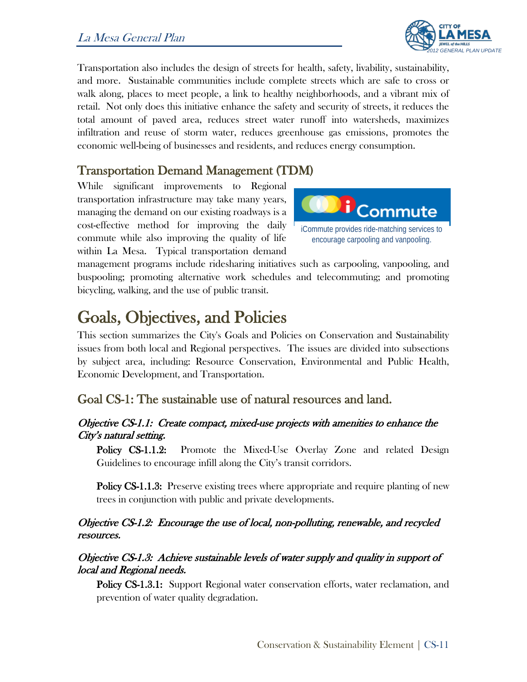

Transportation also includes the design of streets for health, safety, livability, sustainability, and more. Sustainable communities include complete streets which are safe to cross or walk along, places to meet people, a link to healthy neighborhoods, and a vibrant mix of retail. Not only does this initiative enhance the safety and security of streets, it reduces the total amount of paved area, reduces street water runoff into watersheds, maximizes infiltration and reuse of storm water, reduces greenhouse gas emissions, promotes the economic well-being of businesses and residents, and reduces energy consumption.

#### Transportation Demand Management (TDM)

While significant improvements to Regional transportation infrastructure may take many years, managing the demand on our existing roadways is a cost-effective method for improving the daily commute while also improving the quality of life within La Mesa. Typical transportation demand



management programs include ridesharing initiatives such as carpooling, vanpooling, and buspooling; promoting alternative work schedules and telecommuting; and promoting bicycling, walking, and the use of public transit.

Goals, Objectives, and Policies<br>This section summarizes the City's Goals and Policies on Conservation and Sustainability issues from both local and Regional perspectives. The issues are divided into subsections by subject area, including: Resource Conservation, Environmental and Public Health, Economic Development, and Transportation.

#### Goal CS-1: The sustainable use of natural resources and land.

#### Objective CS-1.1: Create compact, mixed-use projects with amenities to enhance the City's natural setting.

Policy CS-1.1.2: Promote the Mixed-Use Overlay Zone and related Design Guidelines to encourage infill along the City's transit corridors.

Policy CS-1.1.3: Preserve existing trees where appropriate and require planting of new trees in conjunction with public and private developments.

#### Objective CS-1.2: Encourage the use of local, non-polluting, renewable, and recycled resources.

#### Objective CS-1.3: Achieve sustainable levels of water supply and quality in support of local and Regional needs.

Policy CS-1.3.1: Support Regional water conservation efforts, water reclamation, and prevention of water quality degradation.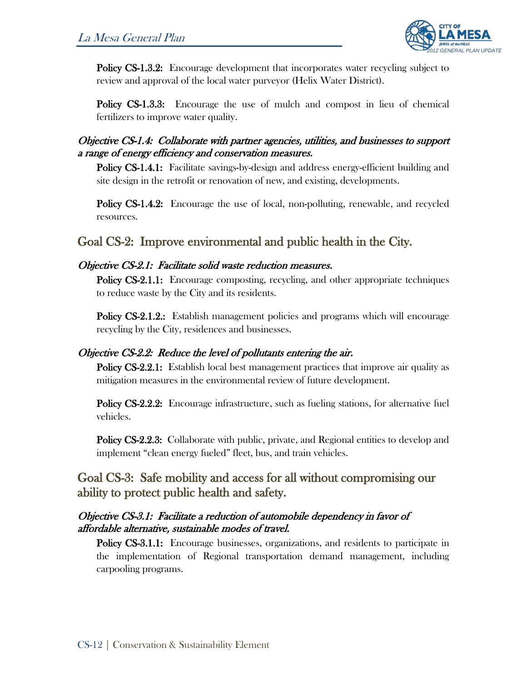

**Policy CS-1.3.2:** Encourage development that incorporates water recycling subject to review and approval of the local water purveyor (Helix Water District).

Policy CS-1.3.3: Encourage the use of mulch and compost in lieu of chemical fertilizers to improve water quality.

#### Objective CS-1.4: Collaborate with partner agencies, utilities, and businesses to support a range of energy efficiency and conservation measures.

Policy CS-1.4.1: Facilitate savings-by-design and address energy-efficient building and site design in the retrofit or renovation of new, and existing, developments.

Policy CS-1.4.2: Encourage the use of local, non-polluting, renewable, and recycled resources.

#### Goal CS-2: Improve environmental and public health in the City.

#### Objective CS-2.1: Facilitate solid waste reduction measures.

Policy CS-2.1.1: Encourage composting, recycling, and other appropriate techniques to reduce waste by the City and its residents.

**Policy CS-2.1.2.:** Establish management policies and programs which will encourage recycling by the City, residences and businesses.

#### Objective CS-2.2: Reduce the level of pollutants entering the air.

**Policy CS-2.2.1:** Establish local best management practices that improve air quality as mitigation measures in the environmental review of future development.

Policy CS-2.2.2: Encourage infrastructure, such as fueling stations, for alternative fuel vehicles.

Policy CS-2.2.3: Collaborate with public, private, and Regional entities to develop and implement "clean energy fueled" fleet, bus, and train vehicles.

Goal CS-3: Safe mobility and access for all without compromising our ability to protect public health and safety.

#### Objective CS-3.1: Facilitate a reduction of automobile dependency in favor of affordable alternative, sustainable modes of travel.

Policy CS-3.1.1: Encourage businesses, organizations, and residents to participate in the implementation of Regional transportation demand management, including carpooling programs.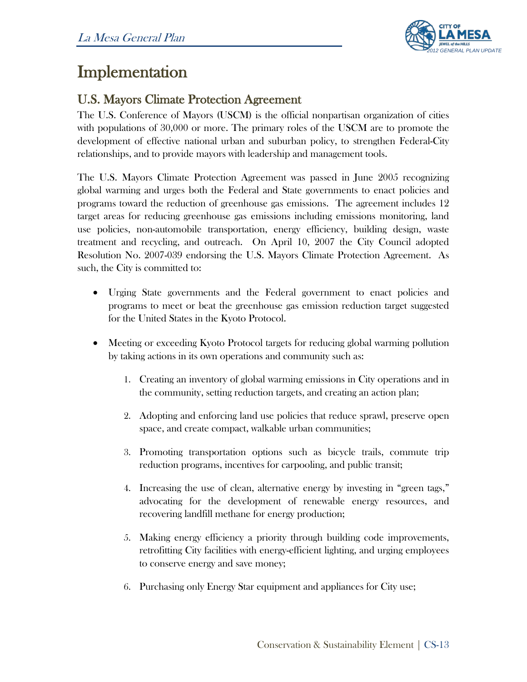

# Implementation

### U.S. Mayors Climate Protection Agreement

The U.S. Conference of Mayors (USCM) is the official nonpartisan organization of cities with populations of 30,000 or more. The primary roles of the USCM are to promote the development of effective national urban and suburban policy, to strengthen Federal-City relationships, and to provide mayors with leadership and management tools.

The U.S. Mayors Climate Protection Agreement was passed in June 2005 recognizing global warming and urges both the Federal and State governments to enact policies and programs toward the reduction of greenhouse gas emissions. The agreement includes 12 target areas for reducing greenhouse gas emissions including emissions monitoring, land use policies, non-automobile transportation, energy efficiency, building design, waste treatment and recycling, and outreach. On April 10, 2007 the City Council adopted Resolution No. 2007-039 endorsing the U.S. Mayors Climate Protection Agreement. As such, the City is committed to:

- Urging State governments and the Federal government to enact policies and programs to meet or beat the greenhouse gas emission reduction target suggested for the United States in the Kyoto Protocol.
- Meeting or exceeding Kyoto Protocol targets for reducing global warming pollution by taking actions in its own operations and community such as:
	- 1. Creating an inventory of global warming emissions in City operations and in the community, setting reduction targets, and creating an action plan;
	- 2. Adopting and enforcing land use policies that reduce sprawl, preserve open space, and create compact, walkable urban communities;
	- 3. Promoting transportation options such as bicycle trails, commute trip reduction programs, incentives for carpooling, and public transit;
	- 4. Increasing the use of clean, alternative energy by investing in "green tags," advocating for the development of renewable energy resources, and recovering landfill methane for energy production;
	- 5. Making energy efficiency a priority through building code improvements, retrofitting City facilities with energy-efficient lighting, and urging employees to conserve energy and save money;
	- 6. Purchasing only Energy Star equipment and appliances for City use;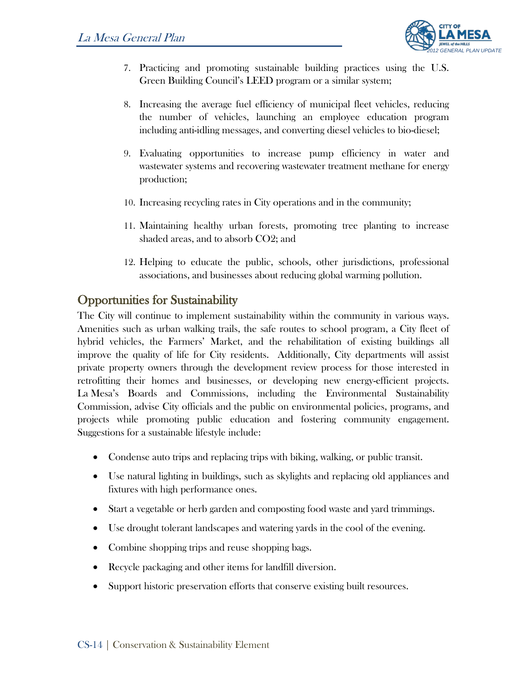

- 7. Practicing and promoting sustainable building practices using the U.S. Green Building Council's LEED program or a similar system;
- 8. Increasing the average fuel efficiency of municipal fleet vehicles, reducing the number of vehicles, launching an employee education program including anti-idling messages, and converting diesel vehicles to bio-diesel;
- 9. Evaluating opportunities to increase pump efficiency in water and wastewater systems and recovering wastewater treatment methane for energy production;
- 10. Increasing recycling rates in City operations and in the community;
- 11. Maintaining healthy urban forests, promoting tree planting to increase shaded areas, and to absorb CO2; and
- 12. Helping to educate the public, schools, other jurisdictions, professional associations, and businesses about reducing global warming pollution.

## Opportunities for Sustainability

The City will continue to implement sustainability within the community in various ways. Amenities such as urban walking trails, the safe routes to school program, a City fleet of hybrid vehicles, the Farmers' Market, and the rehabilitation of existing buildings all improve the quality of life for City residents. Additionally, City departments will assist private property owners through the development review process for those interested in retrofitting their homes and businesses, or developing new energy-efficient projects. La Mesa's Boards and Commissions, including the Environmental Sustainability Commission, advise City officials and the public on environmental policies, programs, and projects while promoting public education and fostering community engagement. Suggestions for a sustainable lifestyle include:

- Condense auto trips and replacing trips with biking, walking, or public transit.
- Use natural lighting in buildings, such as skylights and replacing old appliances and fixtures with high performance ones.
- Start a vegetable or herb garden and composting food waste and yard trimmings.
- Use drought tolerant landscapes and watering yards in the cool of the evening.
- Combine shopping trips and reuse shopping bags.
- Recycle packaging and other items for landfill diversion.
- Support historic preservation efforts that conserve existing built resources.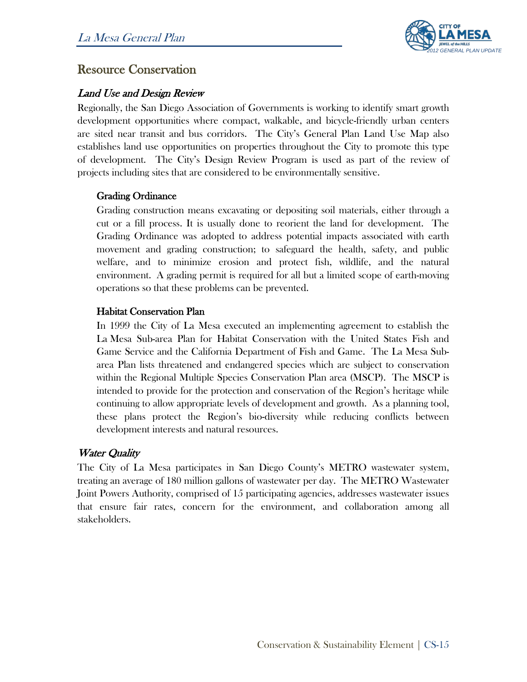

#### Resource Conservation

#### Land Use and Design Review

Regionally, the San Diego Association of Governments is working to identify smart growth development opportunities where compact, walkable, and bicycle-friendly urban centers are sited near transit and bus corridors. The City's General Plan Land Use Map also establishes land use opportunities on properties throughout the City to promote this type of development. The City's Design Review Program is used as part of the review of projects including sites that are considered to be environmentally sensitive.

#### Grading Ordinance

Grading construction means excavating or depositing soil materials, either through a cut or a fill process. It is usually done to reorient the land for development. The Grading Ordinance was adopted to address potential impacts associated with earth movement and grading construction; to safeguard the health, safety, and public welfare, and to minimize erosion and protect fish, wildlife, and the natural environment. A grading permit is required for all but a limited scope of earth-moving operations so that these problems can be prevented.

#### Habitat Conservation Plan

In 1999 the City of La Mesa executed an implementing agreement to establish the La Mesa Sub-area Plan for Habitat Conservation with the United States Fish and Game Service and the California Department of Fish and Game. The La Mesa Subarea Plan lists threatened and endangered species which are subject to conservation within the Regional Multiple Species Conservation Plan area (MSCP). The MSCP is intended to provide for the protection and conservation of the Region's heritage while continuing to allow appropriate levels of development and growth. As a planning tool, these plans protect the Region's bio-diversity while reducing conflicts between development interests and natural resources.

#### Water Quality

The City of La Mesa participates in San Diego County's METRO wastewater system, treating an average of 180 million gallons of wastewater per day. The METRO Wastewater Joint Powers Authority, comprised of 15 participating agencies, addresses wastewater issues that ensure fair rates, concern for the environment, and collaboration among all stakeholders.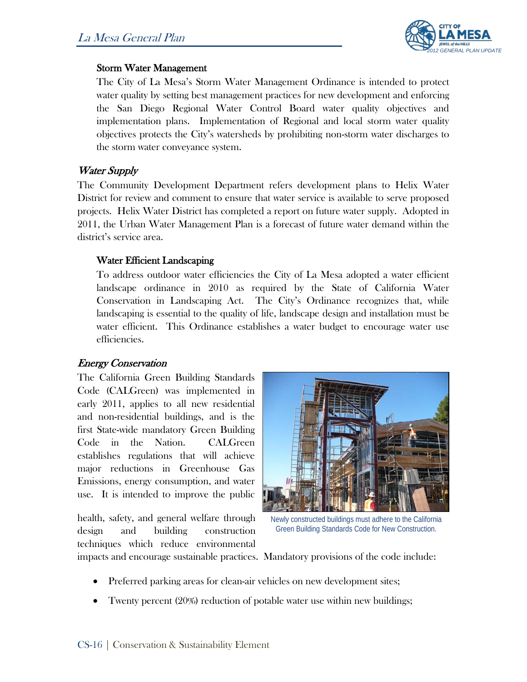

#### Storm Water Management

The City of La Mesa's Storm Water Management Ordinance is intended to protect water quality by setting best management practices for new development and enforcing the San Diego Regional Water Control Board water quality objectives and implementation plans. Implementation of Regional and local storm water quality objectives protects the City's watersheds by prohibiting non-storm water discharges to the storm water conveyance system.

#### Water Supply

The Community Development Department refers development plans to Helix Water District for review and comment to ensure that water service is available to serve proposed projects. Helix Water District has completed a report on future water supply. Adopted in 2011, the Urban Water Management Plan is a forecast of future water demand within the district's service area.

#### Water Efficient Landscaping

To address outdoor water efficiencies the City of La Mesa adopted a water efficient landscape ordinance in 2010 as required by the State of California Water Conservation in Landscaping Act. The City's Ordinance recognizes that, while landscaping is essential to the quality of life, landscape design and installation must be water efficient. This Ordinance establishes a water budget to encourage water use efficiencies.

#### Energy Conservation

The California Green Building Standards Code (CALGreen) was implemented in early 2011, applies to all new residential and non-residential buildings, and is the first State-wide mandatory Green Building Code in the Nation. CALGreen establishes regulations that will achieve major reductions in Greenhouse Gas Emissions, energy consumption, and water use. It is intended to improve the public

health, safety, and general welfare through design and building construction techniques which reduce environmental



Newly constructed buildings must adhere to the California Green Building Standards Code for New Construction.

impacts and encourage sustainable practices. Mandatory provisions of the code include:

- Preferred parking areas for clean-air vehicles on new development sites;
- Twenty percent (20%) reduction of potable water use within new buildings;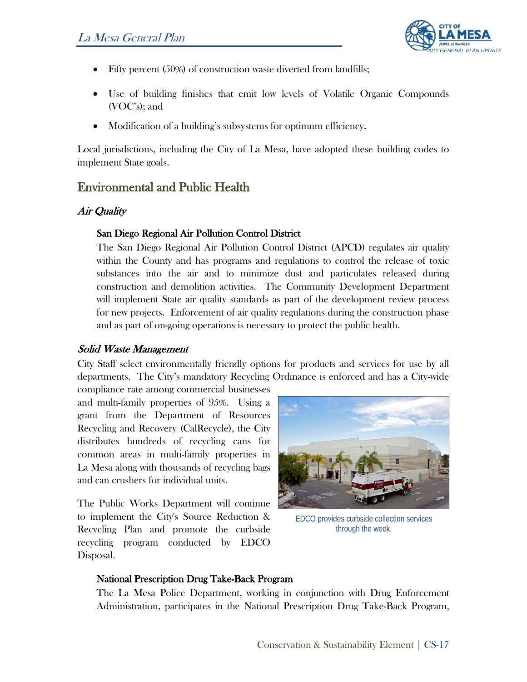

- Fifty percent (50%) of construction waste diverted from landfills;
- Use of building finishes that emit low levels of Volatile Organic Compounds (VOC's); and
- Modification of a building's subsystems for optimum efficiency.

Local jurisdictions, including the City of La Mesa, have adopted these building codes to implement State goals.

### Environmental and Public Health

#### Air Quality

#### San Diego Regional Air Pollution Control District

The San Diego Regional Air Pollution Control District (APCD) regulates air quality within the County and has programs and regulations to control the release of toxic substances into the air and to minimize dust and particulates released during construction and demolition activities. The Community Development Department will implement State air quality standards as part of the development review process for new projects. Enforcement of air quality regulations during the construction phase and as part of on-going operations is necessary to protect the public health.

#### Solid Waste Management

City Staff select environmentally friendly options for products and services for use by all departments. The City's mandatory Recycling Ordinance is enforced and has a City-wide

compliance rate among commercial businesses and multi-family properties of 95%. Using a grant from the Department of Resources Recycling and Recovery (CalRecycle), the City distributes hundreds of recycling cans for common areas in multi-family properties in La Mesa along with thousands of recycling bags and can crushers for individual units.

The Public Works Department will continue to implement the City's Source Reduction & Recycling Plan and promote the curbside recycling program conducted by EDCO Disposal.



EDCO provides curbside collection services through the week.

#### National Prescription Drug Take-Back Program

The La Mesa Police Department, working in conjunction with Drug Enforcement Administration, participates in the National Prescription Drug Take-Back Program,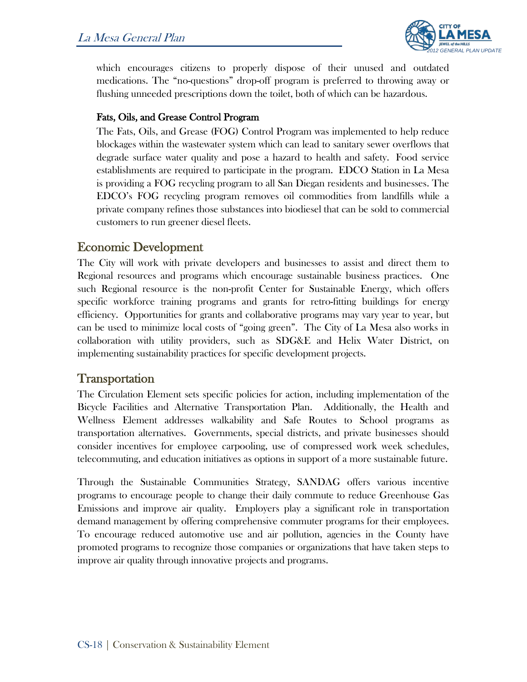

which encourages citizens to properly dispose of their unused and outdated medications. The "no-questions" drop-off program is preferred to throwing away or flushing unneeded prescriptions down the toilet, both of which can be hazardous.

#### Fats, Oils, and Grease Control Program

The Fats, Oils, and Grease (FOG) Control Program was implemented to help reduce blockages within the wastewater system which can lead to sanitary sewer overflows that degrade surface water quality and pose a hazard to health and safety. Food service establishments are required to participate in the program. EDCO Station in La Mesa is providing a FOG recycling program to all San Diegan residents and businesses. The EDCO's FOG recycling program removes oil commodities from landfills while a private company refines those substances into biodiesel that can be sold to commercial customers to run greener diesel fleets.

#### Economic Development

The City will work with private developers and businesses to assist and direct them to Regional resources and programs which encourage sustainable business practices. One such Regional resource is the non-profit Center for Sustainable Energy, which offers specific workforce training programs and grants for retro-fitting buildings for energy efficiency. Opportunities for grants and collaborative programs may vary year to year, but can be used to minimize local costs of "going green". The City of La Mesa also works in collaboration with utility providers, such as SDG&E and Helix Water District, on implementing sustainability practices for specific development projects.

#### Transportation

The Circulation Element sets specific policies for action, including implementation of the Bicycle Facilities and Alternative Transportation Plan. Additionally, the Health and Wellness Element addresses walkability and Safe Routes to School programs as transportation alternatives. Governments, special districts, and private businesses should consider incentives for employee carpooling, use of compressed work week schedules, telecommuting, and education initiatives as options in support of a more sustainable future.

Through the Sustainable Communities Strategy, SANDAG offers various incentive programs to encourage people to change their daily commute to reduce Greenhouse Gas Emissions and improve air quality. Employers play a significant role in transportation demand management by offering comprehensive commuter programs for their employees. To encourage reduced automotive use and air pollution, agencies in the County have promoted programs to recognize those companies or organizations that have taken steps to improve air quality through innovative projects and programs.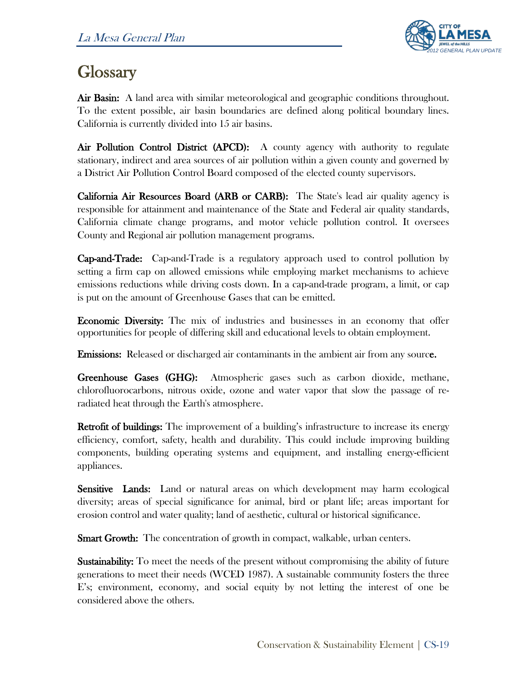

# **Glossary**

Air Basin: A land area with similar meteorological and geographic conditions throughout. To the extent possible, air basin boundaries are defined along political boundary lines. California is currently divided into 15 air basins.

Air Pollution Control District (APCD): A county agency with authority to regulate stationary, indirect and area sources of air pollution within a given county and governed by a District Air Pollution Control Board composed of the elected county supervisors.

California Air Resources Board (ARB or CARB): The State's lead air quality agency is responsible for attainment and maintenance of the State and Federal air quality standards, California climate change programs, and motor vehicle pollution control. It oversees County and Regional air pollution management programs.

Cap-and-Trade: Cap-and-Trade is a regulatory approach used to control pollution by setting a firm cap on allowed emissions while employing market mechanisms to achieve emissions reductions while driving costs down. In a cap-and-trade program, a limit, or cap is put on the amount of Greenhouse Gases that can be emitted.

Economic Diversity: The mix of industries and businesses in an economy that offer opportunities for people of differing skill and educational levels to obtain employment.

Emissions: Released or discharged air contaminants in the ambient air from any source.

Greenhouse Gases (GHG): Atmospheric gases such as carbon dioxide, methane, chlorofluorocarbons, nitrous oxide, ozone and water vapor that slow the passage of reradiated heat through the Earth's atmosphere.

Retrofit of buildings: The improvement of a building's infrastructure to increase its energy efficiency, comfort, safety, health and durability. This could include improving building components, building operating systems and equipment, and installing energy-efficient appliances.

Sensitive Lands: Land or natural areas on which development may harm ecological diversity; areas of special significance for animal, bird or plant life; areas important for erosion control and water quality; land of aesthetic, cultural or historical significance.

**Smart Growth:** The concentration of growth in compact, walkable, urban centers.

**Sustainability:** To meet the needs of the present without compromising the ability of future generations to meet their needs (WCED 1987). A sustainable community fosters the three E's; environment, economy, and social equity by not letting the interest of one be considered above the others.